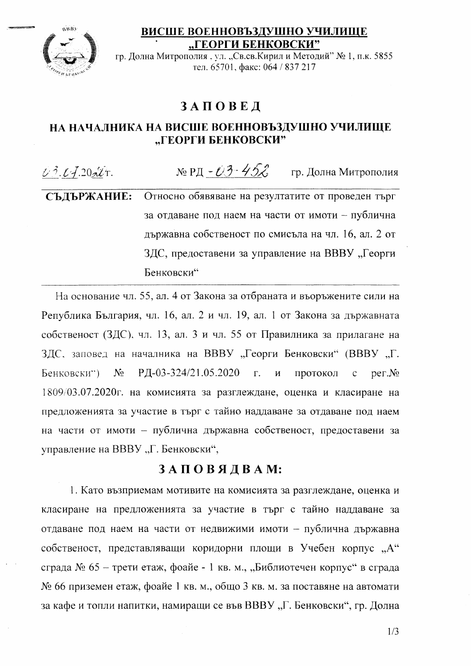ВИСШЕ ВОЕННОВЪЗДУШНО УЧИЛИЩЕ "ГЕОРГИ БЕНКОВСКИ"



гр. Долна Митрополия, ул. "Св.св.Кирил и Методий" № 1, п.к. 5855 тел. 65701, факс: 064 / 837 217

## **ЗАПОВЕД**

## НА НАЧАЛНИКА НА ВИСШЕ ВОЕННОВЪЗДУШНО УЧИЛИЩЕ "ГЕОРГИ БЕНКОВСКИ"

№ РД - ОЗ - 45 $\mathcal{Z}$  гр. Долна Митрополия  $1/3.14.20$   $4.7.1$ СЪДЪРЖАНИЕ: Относно обявяване на резултатите от проведен търг за отдаване под наем на части от имоти - публична държавна собственост по смисъла на чл. 16, ал. 2 от ЗДС, предоставени за управление на ВВВУ "Георги Бенковски"

На основание чл. 55, ал. 4 от Закона за отбраната и въоръжените сили на Република България, чл. 16, ал. 2 и чл. 19, ал. 1 от Закона за държавната собственост (ЗДС), чл. 13, ал. 3 и чл. 55 от Правилника за прилагане на ЗДС, заповед на началника на ВВВУ "Георги Бенковски" (ВВВУ "Г. РД-03-324/21.05.2020  $N_2$  $\Gamma$ . Бенковски")  $\overline{M}$ протокол  $per.N<sub>2</sub>$  $\mathbf{C}$ 1809/03.07.2020 г. на комисията за разглеждане, оценка и класиране на предложенията за участие в търг с тайно наддаване за отдаване под наем на части от имоти - публична държавна собственост, предоставени за управление на ВВВУ "Г. Бенковски",

## ЗАПОВЯДВАМ:

1. Като възприемам мотивите на комисията за разглеждане, оценка и класиране на предложенията за участие в търг с тайно наддаване за отдаване под наем на части от недвижими имоти - публична държавна собственост, представляващи коридорни площи в Учебен корпус "А" сграда № 65 - трети етаж, фоайе - 1 кв. м., "Библиотечен корпус" в сграда № 66 приземен етаж, фоайе 1 кв. м., общо 3 кв. м. за поставяне на автомати за кафе и топли напитки, намиращи се във ВВВУ "Г. Бенковски", гр. Долна

 $1/3$